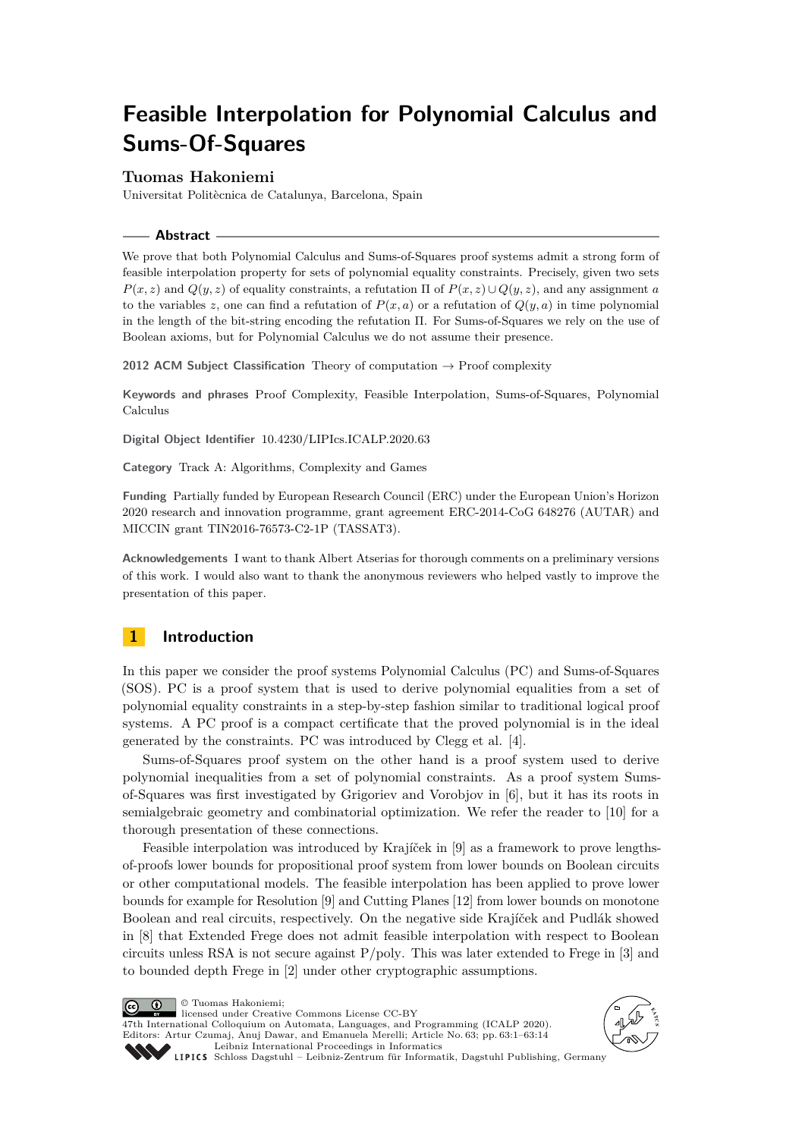# **Feasible Interpolation for Polynomial Calculus and Sums-Of-Squares**

## **Tuomas Hakoniemi**

Universitat Politècnica de Catalunya, Barcelona, Spain

## **Abstract**

We prove that both Polynomial Calculus and Sums-of-Squares proof systems admit a strong form of feasible interpolation property for sets of polynomial equality constraints. Precisely, given two sets  $P(x, z)$  and  $Q(y, z)$  of equality constraints, a refutation  $\Pi$  of  $P(x, z) \cup Q(y, z)$ , and any assignment *a* to the variables *z*, one can find a refutation of  $P(x, a)$  or a refutation of  $Q(y, a)$  in time polynomial in the length of the bit-string encoding the refutation Π. For Sums-of-Squares we rely on the use of Boolean axioms, but for Polynomial Calculus we do not assume their presence.

**2012 ACM Subject Classification** Theory of computation → Proof complexity

**Keywords and phrases** Proof Complexity, Feasible Interpolation, Sums-of-Squares, Polynomial Calculus

**Digital Object Identifier** [10.4230/LIPIcs.ICALP.2020.63](https://doi.org/10.4230/LIPIcs.ICALP.2020.63)

**Category** Track A: Algorithms, Complexity and Games

**Funding** Partially funded by European Research Council (ERC) under the European Union's Horizon 2020 research and innovation programme, grant agreement ERC-2014-CoG 648276 (AUTAR) and MICCIN grant TIN2016-76573-C2-1P (TASSAT3).

**Acknowledgements** I want to thank Albert Atserias for thorough comments on a preliminary versions of this work. I would also want to thank the anonymous reviewers who helped vastly to improve the presentation of this paper.

# **1 Introduction**

In this paper we consider the proof systems Polynomial Calculus (PC) and Sums-of-Squares (SOS). PC is a proof system that is used to derive polynomial equalities from a set of polynomial equality constraints in a step-by-step fashion similar to traditional logical proof systems. A PC proof is a compact certificate that the proved polynomial is in the ideal generated by the constraints. PC was introduced by Clegg et al. [\[4\]](#page-12-0).

Sums-of-Squares proof system on the other hand is a proof system used to derive polynomial inequalities from a set of polynomial constraints. As a proof system Sumsof-Squares was first investigated by Grigoriev and Vorobjov in [\[6\]](#page-13-0), but it has its roots in semialgebraic geometry and combinatorial optimization. We refer the reader to [\[10\]](#page-13-1) for a thorough presentation of these connections.

Feasible interpolation was introduced by Krajíček in [\[9\]](#page-13-2) as a framework to prove lengthsof-proofs lower bounds for propositional proof system from lower bounds on Boolean circuits or other computational models. The feasible interpolation has been applied to prove lower bounds for example for Resolution [\[9\]](#page-13-2) and Cutting Planes [\[12\]](#page-13-3) from lower bounds on monotone Boolean and real circuits, respectively. On the negative side Krajíček and Pudlák showed in [\[8\]](#page-13-4) that Extended Frege does not admit feasible interpolation with respect to Boolean circuits unless RSA is not secure against P*/*poly. This was later extended to Frege in [\[3\]](#page-12-1) and to bounded depth Frege in [\[2\]](#page-12-2) under other cryptographic assumptions.

© Tuomas Hakoniemi;  $\boxed{6}$  0 licensed under Creative Commons License CC-BY 47th International Colloquium on Automata, Languages, and Programming (ICALP 2020). Editors: Artur Czumaj, Anuj Dawar, and Emanuela Merelli; Article No. 63; pp. 63:1–63[:14](#page-13-5) [Leibniz International Proceedings in Informatics](https://www.dagstuhl.de/lipics/)



[Schloss Dagstuhl – Leibniz-Zentrum für Informatik, Dagstuhl Publishing, Germany](https://www.dagstuhl.de)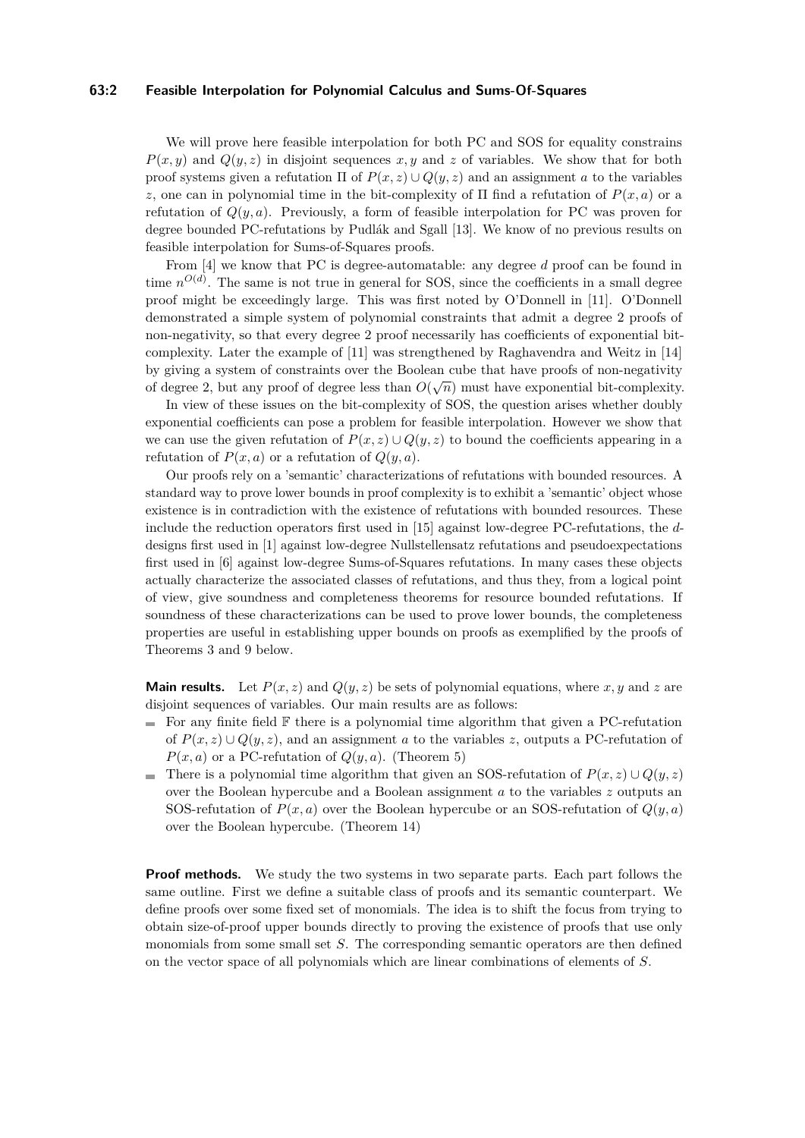## **63:2 Feasible Interpolation for Polynomial Calculus and Sums-Of-Squares**

We will prove here feasible interpolation for both PC and SOS for equality constrains  $P(x, y)$  and  $Q(y, z)$  in disjoint sequences  $x, y$  and  $z$  of variables. We show that for both proof systems given a refutation  $\Pi$  of  $P(x, z) \cup Q(y, z)$  and an assignment *a* to the variables *z*, one can in polynomial time in the bit-complexity of  $\Pi$  find a refutation of  $P(x, a)$  or a refutation of  $Q(y, a)$ . Previously, a form of feasible interpolation for PC was proven for degree bounded PC-refutations by Pudlák and Sgall [\[13\]](#page-13-6). We know of no previous results on feasible interpolation for Sums-of-Squares proofs.

From [\[4\]](#page-12-0) we know that PC is degree-automatable: any degree *d* proof can be found in time  $n^{O(d)}$ . The same is not true in general for SOS, since the coefficients in a small degree proof might be exceedingly large. This was first noted by O'Donnell in [\[11\]](#page-13-7). O'Donnell demonstrated a simple system of polynomial constraints that admit a degree 2 proofs of non-negativity, so that every degree 2 proof necessarily has coefficients of exponential bitcomplexity. Later the example of [\[11\]](#page-13-7) was strengthened by Raghavendra and Weitz in [\[14\]](#page-13-8) by giving a system of constraints over the Boolean cube that have proofs of non-negativity of degree 2, but any proof of degree less than  $O(\sqrt{n})$  must have exponential bit-complexity.

In view of these issues on the bit-complexity of SOS, the question arises whether doubly exponential coefficients can pose a problem for feasible interpolation. However we show that we can use the given refutation of  $P(x, z) \cup Q(y, z)$  to bound the coefficients appearing in a refutation of  $P(x, a)$  or a refutation of  $Q(y, a)$ .

Our proofs rely on a 'semantic' characterizations of refutations with bounded resources. A standard way to prove lower bounds in proof complexity is to exhibit a 'semantic' object whose existence is in contradiction with the existence of refutations with bounded resources. These include the reduction operators first used in [\[15\]](#page-13-9) against low-degree PC-refutations, the *d*designs first used in [\[1\]](#page-12-3) against low-degree Nullstellensatz refutations and pseudoexpectations first used in [\[6\]](#page-13-0) against low-degree Sums-of-Squares refutations. In many cases these objects actually characterize the associated classes of refutations, and thus they, from a logical point of view, give soundness and completeness theorems for resource bounded refutations. If soundness of these characterizations can be used to prove lower bounds, the completeness properties are useful in establishing upper bounds on proofs as exemplified by the proofs of Theorems [3](#page-4-0) and [9](#page-8-0) below.

**Main results.** Let  $P(x, z)$  and  $Q(y, z)$  be sets of polynomial equations, where x, y and z are disjoint sequences of variables. Our main results are as follows:

- $\blacksquare$  For any finite field  $\mathbb F$  there is a polynomial time algorithm that given a PC-refutation of  $P(x, z) \cup Q(y, z)$ , and an assignment *a* to the variables *z*, outputs a PC-refutation of  $P(x, a)$  or a PC-refutation of  $Q(y, a)$ . (Theorem [5\)](#page-6-0)
- There is a polynomial time algorithm that given an SOS-refutation of  $P(x, z) \cup Q(y, z)$ over the Boolean hypercube and a Boolean assignment *a* to the variables *z* outputs an SOS-refutation of  $P(x, a)$  over the Boolean hypercube or an SOS-refutation of  $Q(y, a)$ over the Boolean hypercube. (Theorem [14\)](#page-12-4)

**Proof methods.** We study the two systems in two separate parts. Each part follows the same outline. First we define a suitable class of proofs and its semantic counterpart. We define proofs over some fixed set of monomials. The idea is to shift the focus from trying to obtain size-of-proof upper bounds directly to proving the existence of proofs that use only monomials from some small set *S*. The corresponding semantic operators are then defined on the vector space of all polynomials which are linear combinations of elements of *S*.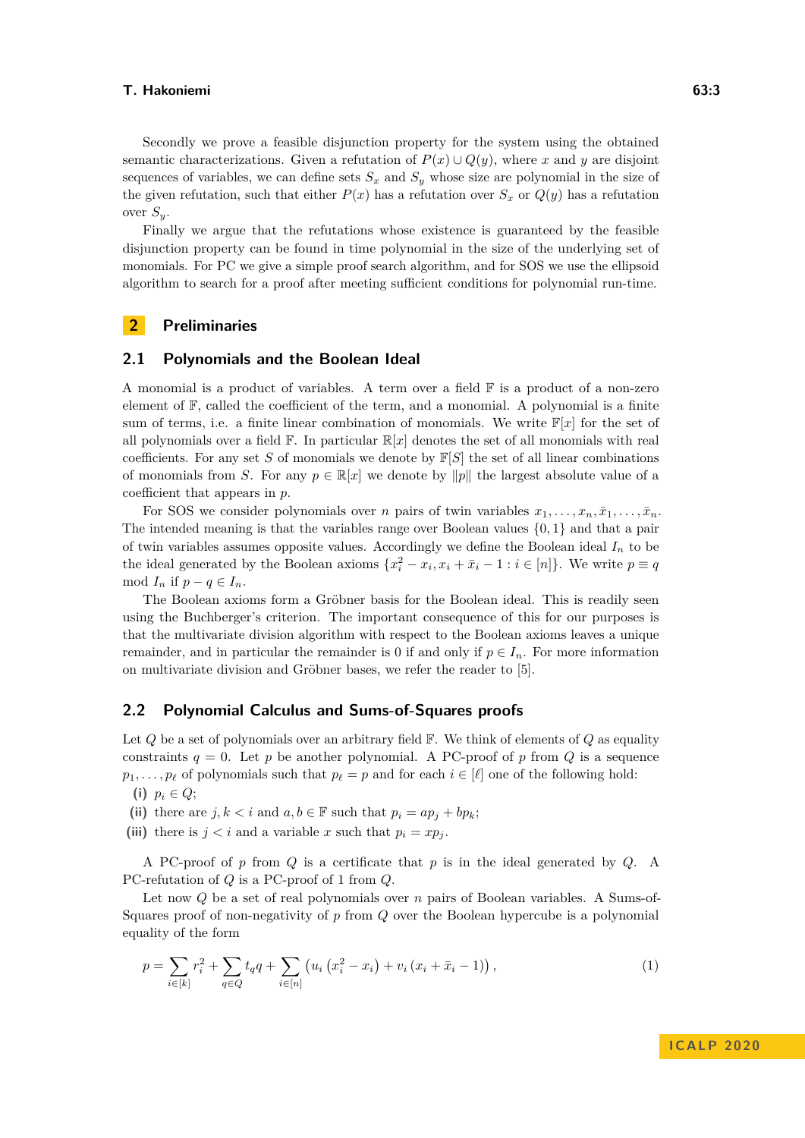Secondly we prove a feasible disjunction property for the system using the obtained semantic characterizations. Given a refutation of  $P(x) \cup Q(y)$ , where *x* and *y* are disjoint sequences of variables, we can define sets  $S_x$  and  $S_y$  whose size are polynomial in the size of the given refutation, such that either  $P(x)$  has a refutation over  $S_x$  or  $Q(y)$  has a refutation over *Sy*.

Finally we argue that the refutations whose existence is guaranteed by the feasible disjunction property can be found in time polynomial in the size of the underlying set of monomials. For PC we give a simple proof search algorithm, and for SOS we use the ellipsoid algorithm to search for a proof after meeting sufficient conditions for polynomial run-time.

## **2 Preliminaries**

## **2.1 Polynomials and the Boolean Ideal**

A monomial is a product of variables. A term over a field  $\mathbb F$  is a product of a non-zero element of  $\mathbb{F}$ , called the coefficient of the term, and a monomial. A polynomial is a finite sum of terms, i.e. a finite linear combination of monomials. We write  $\mathbb{F}[x]$  for the set of all polynomials over a field  $\mathbb{F}$ . In particular  $\mathbb{R}[x]$  denotes the set of all monomials with real coefficients. For any set *S* of monomials we denote by  $\mathbb{F}[S]$  the set of all linear combinations of monomials from *S*. For any  $p \in \mathbb{R}[x]$  we denote by  $||p||$  the largest absolute value of a coefficient that appears in *p*.

For SOS we consider polynomials over *n* pairs of twin variables  $x_1, \ldots, x_n, \bar{x}_1, \ldots, \bar{x}_n$ . The intended meaning is that the variables range over Boolean values {0*,* 1} and that a pair of twin variables assumes opposite values. Accordingly we define the Boolean ideal  $I_n$  to be the ideal generated by the Boolean axioms  $\{x_i^2 - x_i, x_i + \bar{x}_i - 1 : i \in [n]\}.$  We write  $p \equiv q$ mod  $I_n$  if  $p - q \in I_n$ .

The Boolean axioms form a Gröbner basis for the Boolean ideal. This is readily seen using the Buchberger's criterion. The important consequence of this for our purposes is that the multivariate division algorithm with respect to the Boolean axioms leaves a unique remainder, and in particular the remainder is 0 if and only if  $p \in I_n$ . For more information on multivariate division and Gröbner bases, we refer the reader to [\[5\]](#page-12-5).

## **2.2 Polynomial Calculus and Sums-of-Squares proofs**

Let *Q* be a set of polynomials over an arbitrary field F. We think of elements of *Q* as equality constraints  $q = 0$ . Let p be another polynomial. A PC-proof of p from Q is a sequence *p*<sub>1</sub>*,..., p*<sup>*i*</sup> of polynomials such that  $p_\ell = p$  and for each  $i \in [\ell]$  one of the following hold:

- (i)  $p_i \in Q$ ;
- (ii) there are  $j, k < i$  and  $a, b \in \mathbb{F}$  such that  $p_i = ap_j + bp_k$ ;
- (iii) there is  $j < i$  and a variable  $x$  such that  $p_i = xp_j$ .

A PC-proof of *p* from *Q* is a certificate that *p* is in the ideal generated by *Q*. A PC-refutation of *Q* is a PC-proof of 1 from *Q*.

Let now *Q* be a set of real polynomials over *n* pairs of Boolean variables. A Sums-of-Squares proof of non-negativity of *p* from *Q* over the Boolean hypercube is a polynomial equality of the form

<span id="page-2-0"></span>
$$
p = \sum_{i \in [k]} r_i^2 + \sum_{q \in Q} t_q q + \sum_{i \in [n]} \left( u_i \left( x_i^2 - x_i \right) + v_i \left( x_i + \bar{x}_i - 1 \right) \right),\tag{1}
$$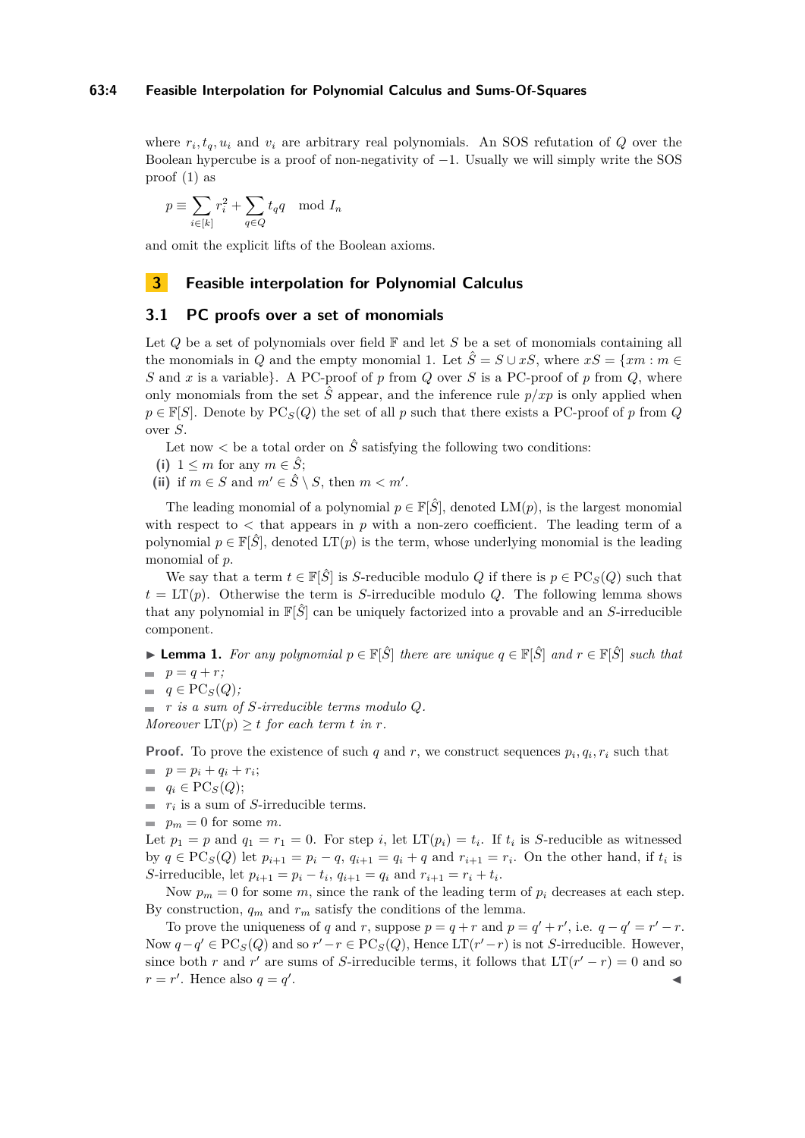#### **63:4 Feasible Interpolation for Polynomial Calculus and Sums-Of-Squares**

where  $r_i, t_q, u_i$  and  $v_i$  are arbitrary real polynomials. An SOS refutation of  $Q$  over the Boolean hypercube is a proof of non-negativity of  $-1$ . Usually we will simply write the SOS proof [\(1\)](#page-2-0) as

$$
p \equiv \sum_{i \in [k]} r_i^2 + \sum_{q \in Q} t_q q \mod I_n
$$

and omit the explicit lifts of the Boolean axioms.

# **3 Feasible interpolation for Polynomial Calculus**

## **3.1 PC proofs over a set of monomials**

Let *Q* be a set of polynomials over field  $\mathbb{F}$  and let *S* be a set of monomials containing all the monomials in *Q* and the empty monomial 1. Let  $\hat{S} = S \cup xS$ , where  $xS = \{xm : m \in$ *S* and *x* is a variable}. A PC-proof of *p* from *Q* over *S* is a PC-proof of *p* from *Q*, where only monomials from the set  $\hat{S}$  appear, and the inference rule  $p/xp$  is only applied when  $p \in \mathbb{F}[S]$ . Denote by  $PC_S(Q)$  the set of all *p* such that there exists a PC-proof of *p* from *Q* over *S*.

Let now  $\lt$  be a total order on  $\hat{S}$  satisfying the following two conditions:

- (i)  $1 \leq m$  for any  $m \in \hat{S}$ ;
- (ii) if  $m \in S$  and  $m' \in \hat{S} \setminus S$ , then  $m < m'$ .

The leading monomial of a polynomial  $p \in \mathbb{F}[\hat{S}]$ , denoted  $LM(p)$ , is the largest monomial with respect to  $\lt$  that appears in  $p$  with a non-zero coefficient. The leading term of a polynomial  $p \in \mathbb{F}[\hat{S}]$ , denoted  $LT(p)$  is the term, whose underlying monomial is the leading monomial of *p*.

We say that a term  $t \in \mathbb{F}[\hat{S}]$  is *S*-reducible modulo *Q* if there is  $p \in \text{PC}_S(Q)$  such that  $t = LT(p)$ . Otherwise the term is *S*-irreducible modulo *Q*. The following lemma shows that any polynomial in  $\mathbb{F}[\hat{S}]$  can be uniquely factorized into a provable and an *S*-irreducible component.

<span id="page-3-0"></span>**► Lemma 1.** For any polynomial  $p \in \mathbb{F}[\hat{S}]$  there are unique  $q \in \mathbb{F}[\hat{S}]$  and  $r \in \mathbb{F}[\hat{S}]$  such that

$$
p = q + r;
$$

 $q \in \text{PC}_S(Q)$ ;

*r is a sum of S-irreducible terms modulo Q. Moreover*  $LT(p) \geq t$  *for each term t in r.* 

**Proof.** To prove the existence of such *q* and *r*, we construct sequences  $p_i, q_i, r_i$  such that

- $p = p_i + q_i + r_i;$
- $q_i \in \mathrm{PC}_S(Q);$
- *ri* is a sum of *S*-irreducible terms.
- $p_m = 0$  for some *m*.

Let  $p_1 = p$  and  $q_1 = r_1 = 0$ . For step *i*, let  $LT(p_i) = t_i$ . If  $t_i$  is *S*-reducible as witnessed by *q* ∈ PC<sub>*S*</sub>(*Q*) let  $p_{i+1} = p_i - q$ ,  $q_{i+1} = q_i + q$  and  $r_{i+1} = r_i$ . On the other hand, if  $t_i$  is *S*-irreducible, let  $p_{i+1} = p_i - t_i$ ,  $q_{i+1} = q_i$  and  $r_{i+1} = r_i + t_i$ .

Now  $p_m = 0$  for some *m*, since the rank of the leading term of  $p_i$  decreases at each step. By construction,  $q_m$  and  $r_m$  satisfy the conditions of the lemma.

To prove the uniqueness of *q* and *r*, suppose  $p = q + r$  and  $p = q' + r'$ , i.e.  $q - q' = r' - r$ . Now  $q - q' \in PC_S(Q)$  and so  $r' - r \in PC_S(Q)$ , Hence LT( $r' - r$ ) is not *S*-irreducible. However, since both *r* and *r'* are sums of *S*-irreducible terms, it follows that  $LT(r' - r) = 0$  and so  $r = r'$ . Hence also  $q = q'$ . January 1980, and the contract of the contract of the contract of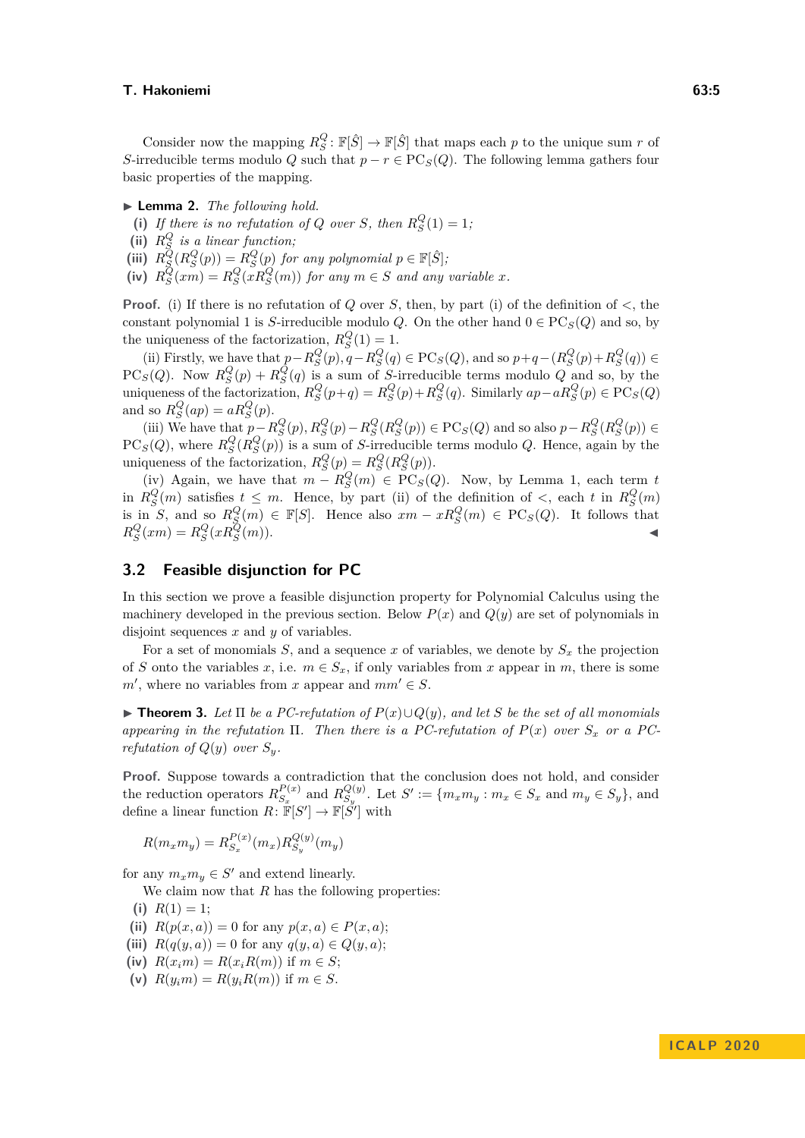Consider now the mapping  $R_S^Q$ :  $\mathbb{F}[\hat{S}] \to \mathbb{F}[\hat{S}]$  that maps each *p* to the unique sum *r* of *S*-irreducible terms modulo *Q* such that  $p - r \in \text{PC}_S(Q)$ . The following lemma gathers four basic properties of the mapping.

- <span id="page-4-1"></span> $\blacktriangleright$  **Lemma 2.** *The following hold.*
- (i) If there is no refutation of Q over *S*, then  $R_S^Q(1) = 1$ ;
- (ii)  $R_S^Q$  *is a linear function;*
- (iii)  $R_S^Q(R_S^Q(p)) = R_S^Q(p)$  *for any polynomial*  $p \in \mathbb{F}[\hat{S}]$ *;*
- (iv)  $R_S^Q(xm) = R_S^Q(xR_S^Q(m))$  *for any*  $m \in S$  *and any variable x.*

**Proof.** (i) If there is no refutation of *Q* over *S*, then, by part (i) of the definition of  $\lt$ , the constant polynomial 1 is *S*-irreducible modulo *Q*. On the other hand  $0 \in \text{PC}_S(Q)$  and so, by the uniqueness of the factorization,  $R_S^Q(1) = 1$ .

(ii) Firstly, we have that  $p-R_S^Q(p), q-R_S^Q(q) \in \text{PC}_S(Q)$ , and so  $p+q-(R_S^Q(p)+R_S^Q(q)) \in$ PC<sub>S</sub>(*Q*). Now  $R_S^Q(p) + R_S^Q(q)$  is a sum of *S*-irreducible terms modulo *Q* and so, by the uniqueness of the factorization,  $R_S^Q(p+q) = R_S^Q(p) + R_S^Q(q)$ . Similarly  $ap - aR_S^Q(p) \in PC_S(Q)$ and so  $R_S^Q(ap) = aR_S^Q(p)$ .

(iii) We have that  $p-R_S^Q(p), R_S^Q(p)-R_S^Q(R_S^Q(p)) \in PC_S(Q)$  and so also  $p-R_S^Q(R_S^Q(p)) \in$  $PC_S(Q)$ , where  $R_S^Q(R_S^Q(p))$  is a sum of *S*-irreducible terms modulo *Q*. Hence, again by the uniqueness of the factorization,  $R_S^Q(p) = R_S^Q(R_S^Q(p))$ .

(iv) Again, we have that  $m - R_S^Q(m) \in \text{PC}_S(Q)$ . Now, by Lemma [1,](#page-3-0) each term *t* in  $R_S^Q(m)$  satisfies  $t \leq m$ . Hence, by part (ii) of the definition of  $\lt$ , each  $t$  in  $R_S^Q(m)$ is in *S*, and so  $R_S^Q(m) \in \mathbb{F}[S]$ . Hence also  $xm - xR_S^Q(m) \in \text{PC}_S(Q)$ . It follows that  $R_S^Q(xm) = R_S^Q(xR_S^Q(m)).$ 

# **3.2 Feasible disjunction for PC**

In this section we prove a feasible disjunction property for Polynomial Calculus using the machinery developed in the previous section. Below  $P(x)$  and  $Q(y)$  are set of polynomials in disjoint sequences *x* and *y* of variables.

For a set of monomials  $S$ , and a sequence  $x$  of variables, we denote by  $S_x$  the projection of *S* onto the variables *x*, i.e.  $m \in S_x$ , if only variables from *x* appear in *m*, there is some  $m'$ , where no variables from *x* appear and  $mm' \in S$ .

<span id="page-4-0"></span>► **Theorem 3.** Let  $\Pi$  be a PC-refutation of  $P(x) \cup Q(y)$ , and let S be the set of all monomials *appearing in the refutation*  $\Pi$ . Then there is a PC-refutation of  $P(x)$  over  $S_x$  or a PC*refutation of*  $Q(y)$  *over*  $S_y$ *.* 

Proof. Suppose towards a contradiction that the conclusion does not hold, and consider the reduction operators  $R_{S_n}^{P(x)}$  $R_{S_x}^{P(x)}$  and  $R_{S_y}^{Q(y)}$  $S_y^{Q(y)}$ . Let  $S' := \{m_x m_y : m_x \in S_x \text{ and } m_y \in S_y\}$ , and define a linear function  $R: \mathbb{F}[S'] \to \mathbb{F}[S']$  with

$$
R(m_x m_y) = R_{S_x}^{P(x)}(m_x) R_{S_y}^{Q(y)}(m_y)
$$

for any  $m_x m_y \in S'$  and extend linearly.

We claim now that *R* has the following properties:

- (i)  $R(1) = 1$ ;
- (ii)  $R(p(x, a)) = 0$  for any  $p(x, a) \in P(x, a)$ ;
- (iii)  $R(q(y, a)) = 0$  for any  $q(y, a) \in Q(y, a)$ ;
- (iv)  $R(x_i m) = R(x_i R(m))$  if  $m \in S$ ;
- (v)  $R(y_i m) = R(y_i R(m))$  if  $m \in S$ .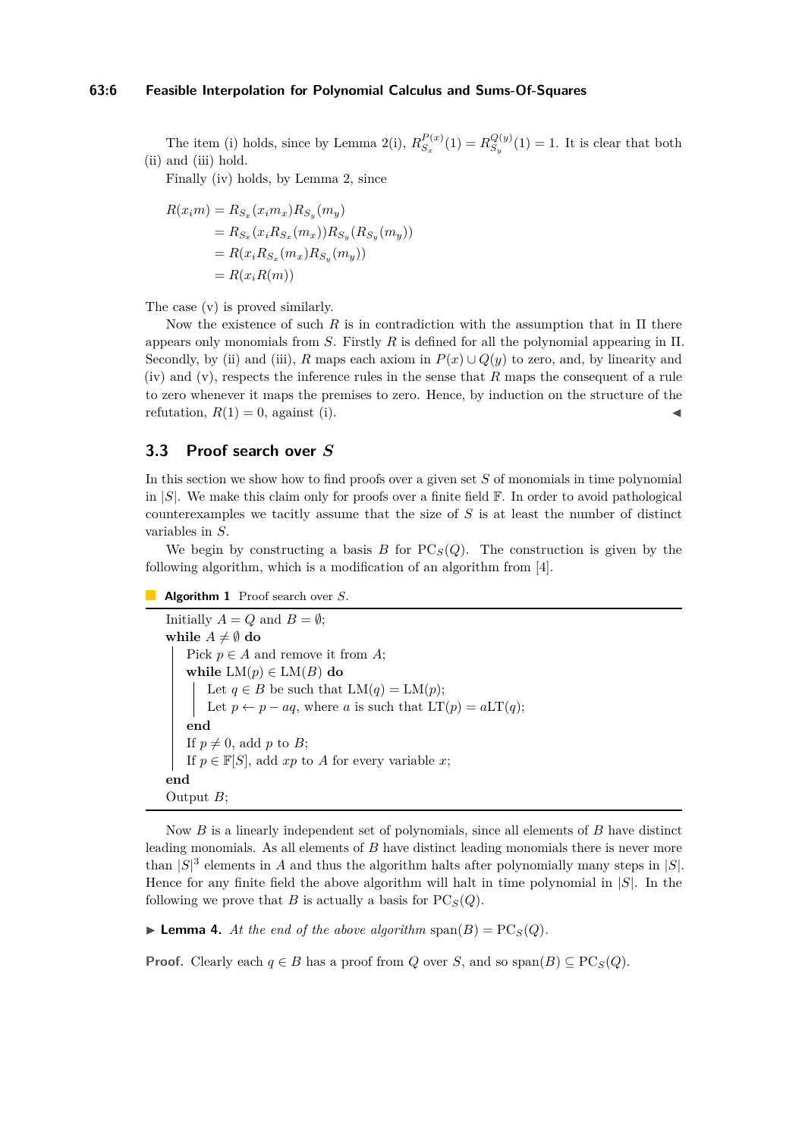## **63:6 Feasible Interpolation for Polynomial Calculus and Sums-Of-Squares**

The item (i) holds, since by Lemma [2\(](#page-4-1)i),  $R_{S_n}^{P(x)}$  $R_{S_x}^{P(x)}(1) = R_{S_y}^{Q(y)}$  $S_y^{Q(y)}(1) = 1$ . It is clear that both (ii) and (iii) hold.

Finally (iv) holds, by Lemma [2,](#page-4-1) since

$$
R(x_i m) = R_{S_x}(x_i m_x) R_{S_y}(m_y)
$$
  
=  $R_{S_x}(x_i R_{S_x}(m_x)) R_{S_y}(R_{S_y}(m_y))$   
=  $R(x_i R_{S_x}(m_x) R_{S_y}(m_y))$   
=  $R(x_i R(m))$ 

The case (v) is proved similarly.

Now the existence of such  $R$  is in contradiction with the assumption that in  $\Pi$  there appears only monomials from *S*. Firstly *R* is defined for all the polynomial appearing in Π. Secondly, by (ii) and (iii), *R* maps each axiom in  $P(x) \cup Q(y)$  to zero, and, by linearity and (iv) and (v), respects the inference rules in the sense that *R* maps the consequent of a rule to zero whenever it maps the premises to zero. Hence, by induction on the structure of the refutation,  $R(1) = 0$ , against (i).

# <span id="page-5-0"></span>**3.3 Proof search over** *S*

In this section we show how to find proofs over a given set *S* of monomials in time polynomial in |*S*|. We make this claim only for proofs over a finite field F. In order to avoid pathological counterexamples we tacitly assume that the size of *S* is at least the number of distinct variables in *S*.

We begin by constructing a basis *B* for  $PC_S(Q)$ . The construction is given by the following algorithm, which is a modification of an algorithm from [\[4\]](#page-12-0).

**Algorithm 1** Proof search over *S*.

Initially  $A = Q$  and  $B = \emptyset$ ; **while**  $A \neq \emptyset$  **do** Pick  $p \in A$  and remove it from  $A$ ; **while**  $LM(p) \in LM(B)$  **do** Let  $q \in B$  be such that  $LM(q) = LM(p)$ ; Let  $p \leftarrow p - aq$ , where *a* is such that  $LT(p) = aLT(q)$ ; **end** If  $p \neq 0$ , add *p* to *B*; If  $p \in \mathbb{F}[S]$ , add  $xp$  to *A* for every variable *x*; **end** Output *B*;

Now *B* is a linearly independent set of polynomials, since all elements of *B* have distinct leading monomials. As all elements of *B* have distinct leading monomials there is never more than  $|S|^3$  elements in *A* and thus the algorithm halts after polynomially many steps in  $|S|$ . Hence for any finite field the above algorithm will halt in time polynomial in |*S*|. In the following we prove that *B* is actually a basis for  $PC_S(Q)$ .

 $\blacktriangleright$  **Lemma 4.** At the end of the above algorithm span(B) = PC<sub>S</sub>(Q).

**Proof.** Clearly each  $q \in B$  has a proof from *Q* over *S*, and so span $(B) \subseteq PC$ <sub>*S*</sub> $(Q)$ .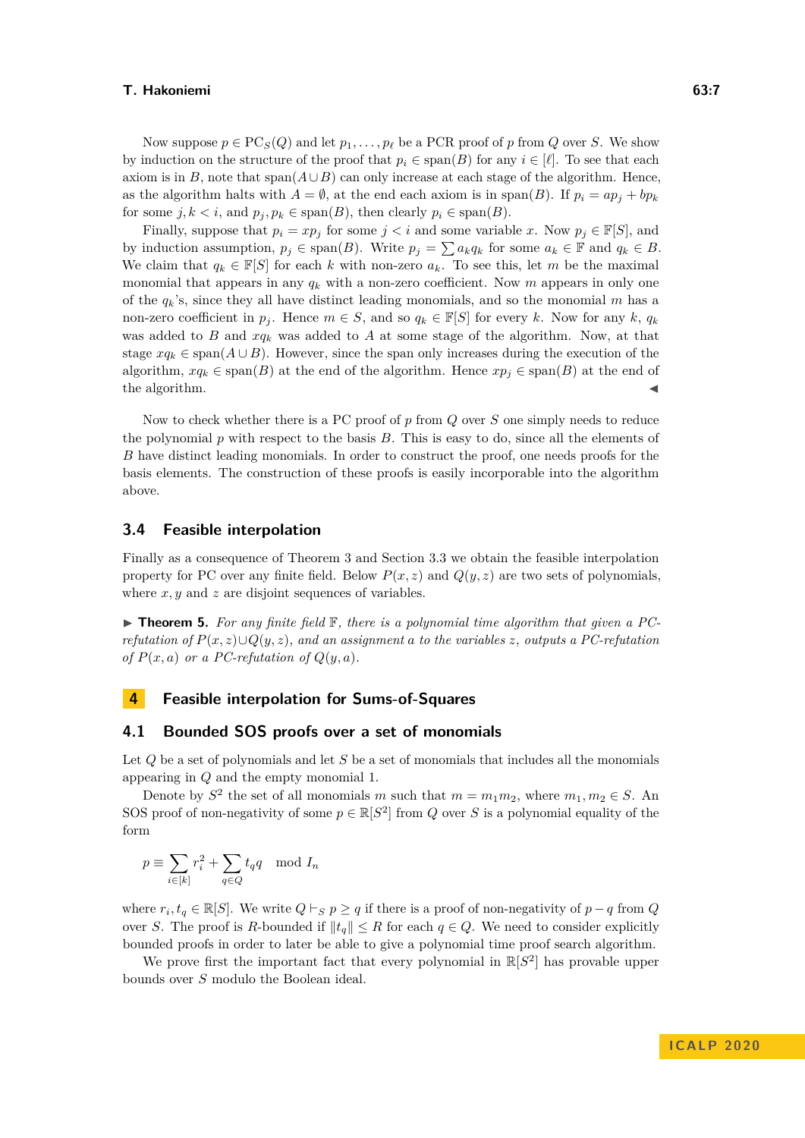Now suppose  $p \in \text{PC}_S(Q)$  and let  $p_1, \ldots, p_\ell$  be a PCR proof of p from *Q* over *S*. We show by induction on the structure of the proof that  $p_i \in \text{span}(B)$  for any  $i \in [\ell]$ . To see that each axiom is in *B*, note that span $(A \cup B)$  can only increase at each stage of the algorithm. Hence, as the algorithm halts with  $A = \emptyset$ , at the end each axiom is in span(*B*). If  $p_i = ap_j + bp_k$ for some  $j, k < i$ , and  $p_j, p_k \in \text{span}(B)$ , then clearly  $p_i \in \text{span}(B)$ .

Finally, suppose that  $p_i = xp_j$  for some  $j < i$  and some variable x. Now  $p_j \in \mathbb{F}[S]$ , and by induction assumption,  $p_j \in \text{span}(B)$ . Write  $p_j = \sum a_k q_k$  for some  $a_k \in \mathbb{F}$  and  $q_k \in B$ . We claim that  $q_k \in \mathbb{F}[S]$  for each k with non-zero  $a_k$ . To see this, let m be the maximal monomial that appears in any  $q_k$  with a non-zero coefficient. Now  $m$  appears in only one of the  $q_k$ 's, since they all have distinct leading monomials, and so the monomial  $m$  has a non-zero coefficient in  $p_j$ . Hence  $m \in S$ , and so  $q_k \in \mathbb{F}[S]$  for every *k*. Now for any *k*,  $q_k$ was added to *B* and  $xq_k$  was added to *A* at some stage of the algorithm. Now, at that stage  $xq_k \in \text{span}(A \cup B)$ . However, since the span only increases during the execution of the algorithm,  $xq_k \in \text{span}(B)$  at the end of the algorithm. Hence  $xp_i \in \text{span}(B)$  at the end of the algorithm.

Now to check whether there is a PC proof of p from Q over S one simply needs to reduce the polynomial  $p$  with respect to the basis  $B$ . This is easy to do, since all the elements of *B* have distinct leading monomials. In order to construct the proof, one needs proofs for the basis elements. The construction of these proofs is easily incorporable into the algorithm above.

## **3.4 Feasible interpolation**

Finally as a consequence of Theorem [3](#page-4-0) and Section [3.3](#page-5-0) we obtain the feasible interpolation property for PC over any finite field. Below  $P(x, z)$  and  $Q(y, z)$  are two sets of polynomials, where *x*, *y* and *z* are disjoint sequences of variables.

<span id="page-6-0"></span> $\triangleright$  **Theorem 5.** For any finite field  $\mathbb{F}$ , there is a polynomial time algorithm that given a PC*refutation of P*(*x, z*)∪*Q*(*y, z*)*, and an assignment a to the variables z, outputs a PC-refutation of*  $P(x, a)$  *or a PC-refutation of*  $Q(y, a)$ *.* 

# **4 Feasible interpolation for Sums-of-Squares**

## **4.1 Bounded SOS proofs over a set of monomials**

Let *Q* be a set of polynomials and let *S* be a set of monomials that includes all the monomials appearing in *Q* and the empty monomial 1.

Denote by  $S^2$  the set of all monomials *m* such that  $m = m_1 m_2$ , where  $m_1, m_2 \in S$ . An SOS proof of non-negativity of some  $p \in \mathbb{R}[S^2]$  from *Q* over *S* is a polynomial equality of the form

$$
p \equiv \sum_{i \in [k]} r_i^2 + \sum_{q \in Q} t_q q \mod I_n
$$

where  $r_i, t_q \in \mathbb{R}[S]$ . We write  $Q \vdash_S p \geq q$  if there is a proof of non-negativity of  $p - q$  from  $Q$ over *S*. The proof is *R*-bounded if  $||t_q|| \leq R$  for each  $q \in Q$ . We need to consider explicitly bounded proofs in order to later be able to give a polynomial time proof search algorithm.

<span id="page-6-1"></span>We prove first the important fact that every polynomial in  $\mathbb{R}[S^2]$  has provable upper bounds over *S* modulo the Boolean ideal.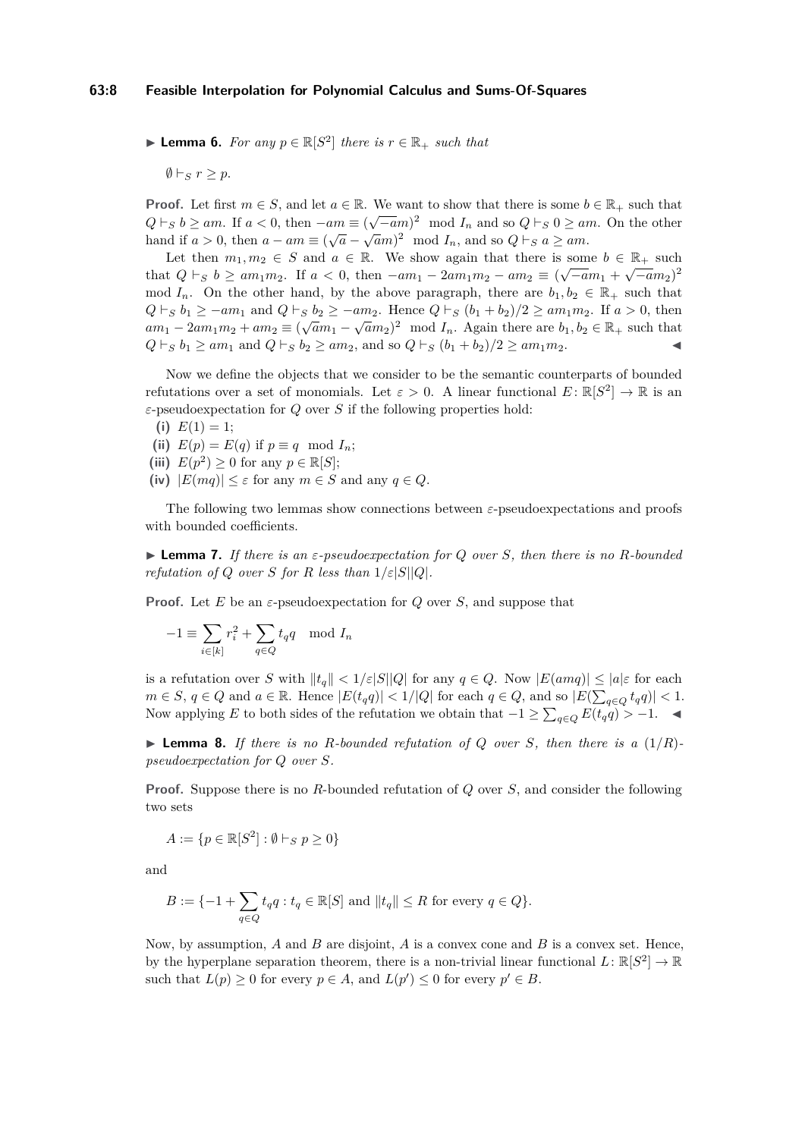▶ **Lemma 6.** *For any*  $p \in \mathbb{R}[S^2]$  *there is*  $r \in \mathbb{R}_+$  *such that* 

 $\emptyset \vdash_{S} r > p.$ 

**Proof.** Let first  $m \in S$ , and let  $a \in \mathbb{R}$ . We want to show that there is some  $b \in \mathbb{R}_+$  such that *Q*  $\vdash_S b \ge am$ . If  $a < 0$ , then  $-am \equiv (\sqrt{-a}m)^2 \mod I_n$  and so  $Q \vdash_S 0 \ge am$ . On the other hand if  $a > 0$ , then  $a - am \equiv (\sqrt{a} - \sqrt{a}m)^2 \mod I_n$ , and so  $Q \vdash_S a \ge am$ .

Let then  $m_1, m_2 \in S$  and  $a \in \mathbb{R}$ . We show again that there is some  $b \in \mathbb{R}_+$  such  $\leftarrow$ that  $Q \vdash_S b \ge am_1m_2$ . If  $a < 0$ , then  $-am_1 - 2am_1m_2 - am_2 \equiv (\sqrt{-a}m_1 + \sqrt{-a}m_2)^2$ mod  $I_n$ . On the other hand, by the above paragraph, there are  $b_1, b_2 \in \mathbb{R}_+$  such that *Q*  $\vdash_S b_1 \ge -am_1$  and  $Q \vdash_S b_2 \ge -am_2$ . Hence  $Q \vdash_S (b_1 + b_2)/2 \ge am_1m_2$ . If  $a > 0$ , then  $am_1 - 2am_1m_2 + am_2 \equiv (\sqrt{a}m_1 - \sqrt{a}m_2)^2 \mod I_n$ . Again there are  $b_1, b_2 \in \mathbb{R}_+$  such that  $Q \vdash_S b_1 \ge am_1$  and  $Q \vdash_S b_2 \ge am_2$ , and so  $Q \vdash_S (b_1 + b_2)/2 \ge am_1m_2$ .

Now we define the objects that we consider to be the semantic counterparts of bounded refutations over a set of monomials. Let  $\varepsilon > 0$ . A linear functional  $E: \mathbb{R}[S^2] \to \mathbb{R}$  is an *ε*-pseudoexpectation for *Q* over *S* if the following properties hold:

- (i)  $E(1) = 1$ ;
- (ii)  $E(p) = E(q)$  if  $p \equiv q \mod I_n$ ;
- (iii)  $E(p^2) \ge 0$  for any  $p \in \mathbb{R}[S];$
- **(iv)** |*E*(*mq*)| ≤ *ε* for any *m* ∈ *S* and any *q* ∈ *Q*.

The following two lemmas show connections between *ε*-pseudoexpectations and proofs with bounded coefficients.

<span id="page-7-1"></span> $\triangleright$  **Lemma 7.** *If there is an*  $\varepsilon$ -pseudoexpectation for Q over S, then there is no R-bounded *refutation of Q over S for R less than*  $1/\varepsilon|S||Q|$ *.* 

**Proof.** Let *E* be an *ε*-pseudoexpectation for *Q* over *S*, and suppose that

$$
-1 \equiv \sum_{i \in [k]} r_i^2 + \sum_{q \in Q} t_q q \mod I_n
$$

is a refutation over *S* with  $||t_q|| < 1/\varepsilon|S||Q|$  for any  $q \in Q$ . Now  $|E(amq)| \leq |a|\varepsilon$  for each  $m \in S, q \in Q$  and  $a \in \mathbb{R}$ . Hence  $|E(t_q q)| < 1/|Q|$  for each  $q \in Q$ , and so  $|E(\sum_{q \in Q} t_q q)| < 1$ . Now applying *E* to both sides of the refutation we obtain that  $-1 \ge \sum_{q \in Q} E(t_q q) > -1$ .  $\blacktriangleleft$ 

<span id="page-7-0"></span>**Example 8.** If there is no R-bounded refutation of Q over S, then there is a  $(1/R)$ *pseudoexpectation for Q over S.*

**Proof.** Suppose there is no *R*-bounded refutation of *Q* over *S*, and consider the following two sets

$$
A := \{ p \in \mathbb{R}[S^2] : \emptyset \vdash_S p \ge 0 \}
$$

and

$$
B := \{-1 + \sum_{q \in Q} t_q q : t_q \in \mathbb{R}[S] \text{ and } ||t_q|| \le R \text{ for every } q \in Q\}.
$$

Now, by assumption, *A* and *B* are disjoint, *A* is a convex cone and *B* is a convex set. Hence, by the hyperplane separation theorem, there is a non-trivial linear functional  $L: \mathbb{R}[S^2] \to \mathbb{R}$ such that  $L(p) \geq 0$  for every  $p \in A$ , and  $L(p') \leq 0$  for every  $p' \in B$ .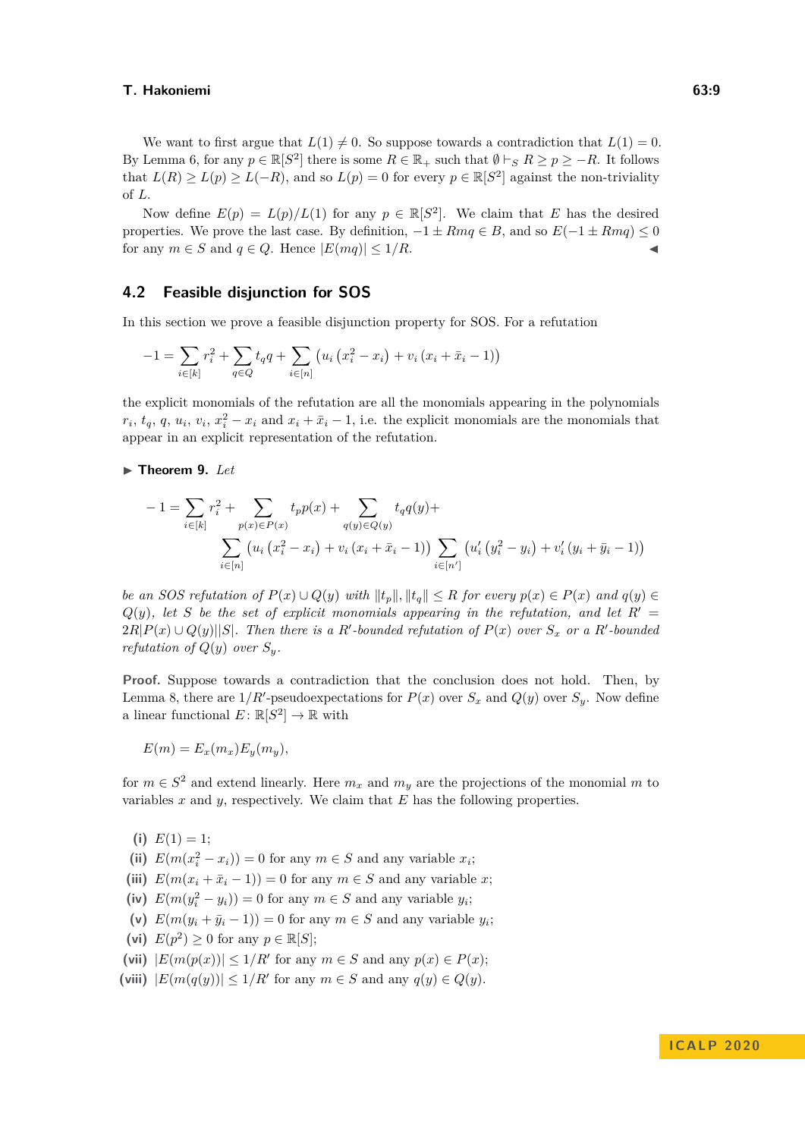We want to first argue that  $L(1) \neq 0$ . So suppose towards a contradiction that  $L(1) = 0$ . By Lemma [6,](#page-6-1) for any  $p \in \mathbb{R}[S^2]$  there is some  $R \in \mathbb{R}_+$  such that  $\emptyset \vdash_S R \geq p \geq -R$ . It follows that  $L(R) \ge L(p) \ge L(-R)$ , and so  $L(p) = 0$  for every  $p \in \mathbb{R}[S^2]$  against the non-triviality of *L*.

Now define  $E(p) = L(p)/L(1)$  for any  $p \in \mathbb{R}[S^2]$ . We claim that *E* has the desired properties. We prove the last case. By definition,  $-1 \pm Rmq \in B$ , and so  $E(-1 \pm Rmq) \le 0$ for any  $m \in S$  and  $q \in Q$ . Hence  $|E(mq)| \leq 1/R$ .

## **4.2 Feasible disjunction for SOS**

In this section we prove a feasible disjunction property for SOS. For a refutation

$$
-1 = \sum_{i \in [k]} r_i^2 + \sum_{q \in Q} t_q q + \sum_{i \in [n]} \left( u_i \left( x_i^2 - x_i \right) + v_i \left( x_i + \bar{x}_i - 1 \right) \right)
$$

the explicit monomials of the refutation are all the monomials appearing in the polynomials  $r_i, t_q, q, u_i, v_i, x_i^2 - x_i$  and  $x_i + \bar{x}_i - 1$ , i.e. the explicit monomials are the monomials that appear in an explicit representation of the refutation.

## <span id="page-8-0"></span> $\blacktriangleright$  Theorem 9. *Let*

$$
-1 = \sum_{i \in [k]} r_i^2 + \sum_{p(x) \in P(x)} t_p p(x) + \sum_{q(y) \in Q(y)} t_q q(y) + \sum_{i \in [n]} (u_i (x_i^2 - x_i) + v_i (x_i + \bar{x}_{i-1})) \sum_{i \in [n']} (u'_i (y_i^2 - y_i) + v'_i (y_i + \bar{y}_{i-1}))
$$

be an SOS refutation of  $P(x) \cup Q(y)$  with  $||t_p||, ||t_q|| \leq R$  for every  $p(x) \in P(x)$  and  $q(y) \in$  $Q(y)$ , let *S* be the set of explicit monomials appearing in the refutation, and let  $R' =$  $2R|P(x) \cup Q(y)||S|$ *. Then there is a R'*-bounded refutation of  $P(x)$  over  $S_x$  or a R'-bounded *refutation of*  $Q(y)$  *over*  $S_y$ *.* 

**Proof.** Suppose towards a contradiction that the conclusion does not hold. Then, by Lemma [8,](#page-7-0) there are  $1/R'$ -pseudoexpectations for  $P(x)$  over  $S_x$  and  $Q(y)$  over  $S_y$ . Now define a linear functional  $E: \mathbb{R}[S^2] \to \mathbb{R}$  with

$$
E(m) = E_x(m_x)E_y(m_y),
$$

for  $m \in S^2$  and extend linearly. Here  $m_x$  and  $m_y$  are the projections of the monomial m to variables *x* and *y*, respectively. We claim that *E* has the following properties.

- (i)  $E(1) = 1$ ;
- (ii)  $E(m(x_i^2 x_i)) = 0$  for any  $m \in S$  and any variable  $x_i$ ;
- (iii)  $E(m(x_i + \bar{x}_i 1)) = 0$  for any  $m \in S$  and any variable *x*;
- (iv)  $E(m(y_i^2 y_i)) = 0$  for any  $m \in S$  and any variable  $y_i$ ;
- (v)  $E(m(y_i + \bar{y}_i 1)) = 0$  for any  $m \in S$  and any variable  $y_i$ ;
- (vi)  $E(p^2) \ge 0$  for any  $p \in \mathbb{R}[S]$ ;
- (vii)  $|E(m(p(x))| \leq 1/R'$  for any  $m \in S$  and any  $p(x) \in P(x)$ ;
- (viii)  $|E(m(q(y))| \leq 1/R'$  for any  $m \in S$  and any  $q(y) \in Q(y)$ .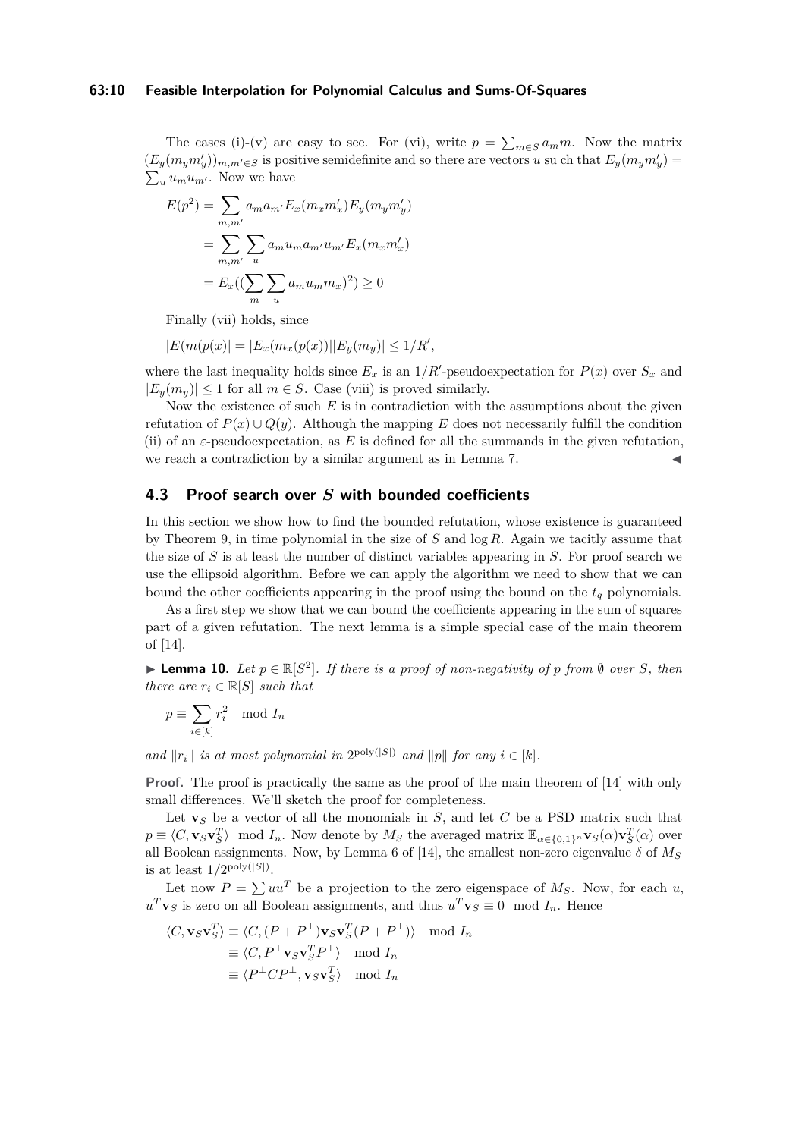## **63:10 Feasible Interpolation for Polynomial Calculus and Sums-Of-Squares**

The cases (i)-(v) are easy to see. For (vi), write  $p = \sum_{m \in S} a_m m$ . Now the matrix  $(E_y(m_ym'_y))_{m,m'\in S}$  is positive semidefinite and so there are vectors *u* su ch that  $E_y(m_ym'_y)$  $\sum_{u} u_m u_{m'}$ . Now we have

$$
E(p^2) = \sum_{m,m'} a_m a_{m'} E_x(m_x m'_x) E_y(m_y m'_y)
$$
  
= 
$$
\sum_{m,m'} \sum_u a_m u_m a_{m'} u_{m'} E_x(m_x m'_x)
$$
  
= 
$$
E_x((\sum_m \sum_u a_m u_m m_x)^2) \ge 0
$$

Finally (vii) holds, since

$$
|E(m(p(x))| = |E_x(m_x(p(x))||E_y(m_y)| \le 1/R',
$$

where the last inequality holds since  $E_x$  is an  $1/R'$ -pseudoexpectation for  $P(x)$  over  $S_x$  and  $|E_y(m_y)| \leq 1$  for all  $m \in S$ . Case (viii) is proved similarly.

Now the existence of such *E* is in contradiction with the assumptions about the given refutation of  $P(x) \cup Q(y)$ . Although the mapping E does not necessarily fulfill the condition (ii) of an  $\varepsilon$ -pseudoexpectation, as E is defined for all the summands in the given refutation, we reach a contradiction by a similar argument as in Lemma [7.](#page-7-1)

# <span id="page-9-0"></span>**4.3 Proof search over** *S* **with bounded coefficients**

In this section we show how to find the bounded refutation, whose existence is guaranteed by Theorem [9,](#page-8-0) in time polynomial in the size of *S* and log *R*. Again we tacitly assume that the size of *S* is at least the number of distinct variables appearing in *S*. For proof search we use the ellipsoid algorithm. Before we can apply the algorithm we need to show that we can bound the other coefficients appearing in the proof using the bound on the *t<sup>q</sup>* polynomials.

As a first step we show that we can bound the coefficients appearing in the sum of squares part of a given refutation. The next lemma is a simple special case of the main theorem of [\[14\]](#page-13-8).

▶ **Lemma 10.** *Let*  $p \in \mathbb{R}[S^2]$ *. If there is a proof of non-negativity of p from* ∅ *over S, then there are*  $r_i \in \mathbb{R}[S]$  *such that* 

$$
p \equiv \sum_{i \in [k]} r_i^2 \mod I_n
$$

*and*  $||r_i||$  *is at most polynomial in*  $2^{poly(|S|)}$  *and*  $||p||$  *for any*  $i \in [k]$ *.* 

**Proof.** The proof is practically the same as the proof of the main theorem of [\[14\]](#page-13-8) with only small differences. We'll sketch the proof for completeness.

Let  $\mathbf{v}_S$  be a vector of all the monomials in  $S$ , and let  $C$  be a PSD matrix such that  $p \equiv \langle C, \mathbf{v}_S \mathbf{v}_S^T \rangle$  mod  $I_n$ . Now denote by  $M_S$  the averaged matrix  $\mathbb{E}_{\alpha \in \{0,1\}^n} \mathbf{v}_S(\alpha) \mathbf{v}_S^T(\alpha)$  over all Boolean assignments. Now, by Lemma 6 of [\[14\]](#page-13-8), the smallest non-zero eigenvalue  $\delta$  of  $M_S$ is at least  $1/2^{\text{poly}(|S|)}$ .

Let now  $P = \sum uu^T$  be a projection to the zero eigenspace of  $M_S$ . Now, for each *u*,  $u^T$ **v**<sub>*S*</sub> is zero on all Boolean assignments, and thus  $u^T$ **v**<sub>*S*</sub>  $\equiv$  0 mod *I<sub>n</sub>*. Hence

$$
\langle C, \mathbf{v}_S \mathbf{v}_S^T \rangle \equiv \langle C, (P + P^{\perp}) \mathbf{v}_S \mathbf{v}_S^T (P + P^{\perp}) \rangle \mod I_n
$$
  
\n
$$
\equiv \langle C, P^{\perp} \mathbf{v}_S \mathbf{v}_S^T P^{\perp} \rangle \mod I_n
$$
  
\n
$$
\equiv \langle P^{\perp} C P^{\perp}, \mathbf{v}_S \mathbf{v}_S^T \rangle \mod I_n
$$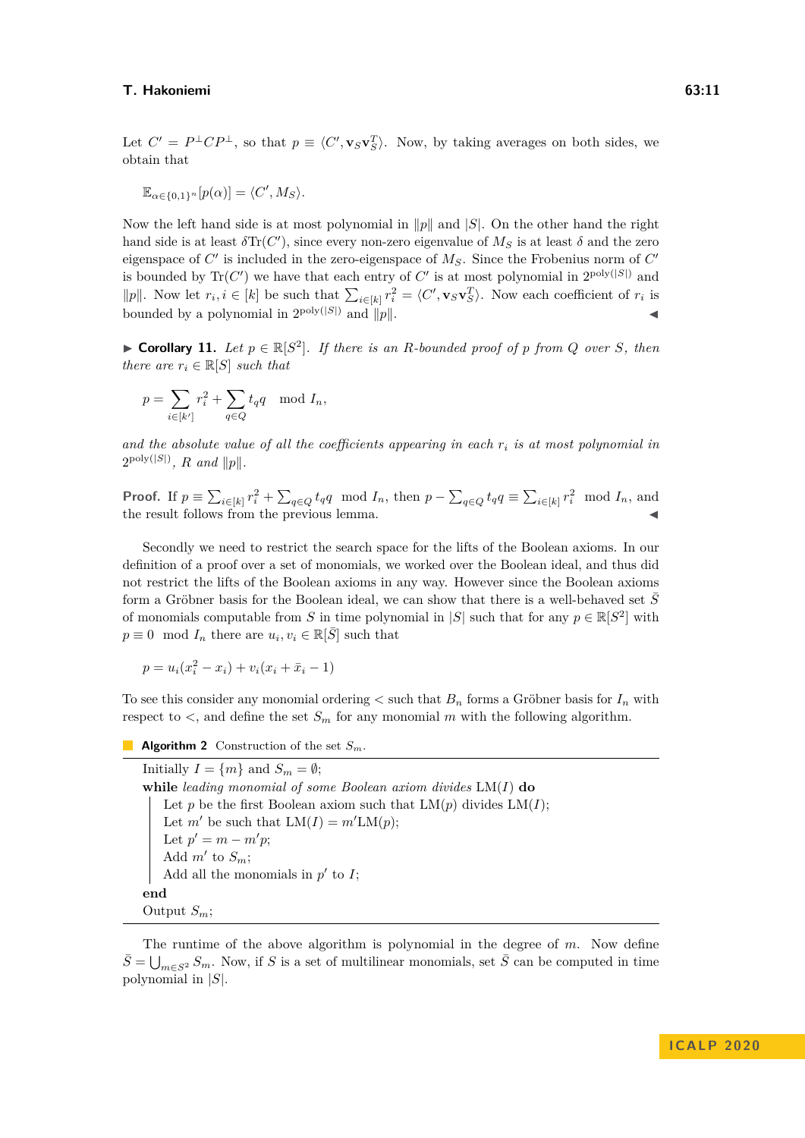Let  $C' = P^{\perp}CP^{\perp}$ , so that  $p \equiv \langle C', \mathbf{v}_S \mathbf{v}_S^T \rangle$ . Now, by taking averages on both sides, we obtain that

$$
\mathbb{E}_{\alpha \in \{0,1\}^n} [p(\alpha)] = \langle C', M_S \rangle.
$$

Now the left hand side is at most polynomial in  $\|p\|$  and  $|S|$ . On the other hand the right hand side is at least  $\delta \text{Tr}(C')$ , since every non-zero eigenvalue of  $M_S$  is at least  $\delta$  and the zero eigenspace of  $C'$  is included in the zero-eigenspace of  $M_S$ . Since the Frobenius norm of  $C'$ is bounded by  $\text{Tr}(C')$  we have that each entry of  $C'$  is at most polynomial in  $2^{\text{poly}(|S|)}$  and ||p||. Now let  $r_i, i \in [k]$  be such that  $\sum_{i \in [k]} r_i^2 = \langle C', \mathbf{v}_S \mathbf{v}_S^T \rangle$ . Now each coefficient of  $r_i$  is bounded by a polynomial in  $2^{poly(|S|)}$  and  $||p||$ .

<span id="page-10-0"></span>▶ **Corollary 11.** Let  $p \in \mathbb{R}[S^2]$ . If there is an *R*-bounded proof of *p* from *Q* over *S*, then *there are*  $r_i \in \mathbb{R}[S]$  *such that* 

$$
p = \sum_{i \in [k']} r_i^2 + \sum_{q \in Q} t_q q \mod I_n,
$$

*and the absolute value of all the coefficients appearing in each r<sup>i</sup> is at most polynomial in*  $2^{\text{poly}(|S|)}$ *, R and*  $||p||$ *.* 

**Proof.** If  $p \equiv \sum_{i \in [k]} r_i^2 + \sum_{q \in Q} t_q q \mod I_n$ , then  $p - \sum_{q \in Q} t_q q \equiv \sum_{i \in [k]} r_i^2 \mod I_n$ , and the result follows from the previous lemma.

Secondly we need to restrict the search space for the lifts of the Boolean axioms. In our definition of a proof over a set of monomials, we worked over the Boolean ideal, and thus did not restrict the lifts of the Boolean axioms in any way. However since the Boolean axioms form a Gröbner basis for the Boolean ideal, we can show that there is a well-behaved set  $\overline{S}$ of monomials computable from *S* in time polynomial in  $|S|$  such that for any  $p \in \mathbb{R}[S^2]$  with  $p \equiv 0 \mod I_n$  there are  $u_i, v_i \in \mathbb{R}[\bar{S}]$  such that

$$
p = u_i(x_i^2 - x_i) + v_i(x_i + \bar{x}_i - 1)
$$

To see this consider any monomial ordering  $\lt$  such that  $B_n$  forms a Gröbner basis for  $I_n$  with respect to  $\lt$ , and define the set  $S_m$  for any monomial *m* with the following algorithm.

**Algorithm 2** Construction of the set *Sm*.

Initially  $I = \{m\}$  and  $S_m = \emptyset$ ; **while** *leading monomial of some Boolean axiom divides* LM(*I*) **do** Let *p* be the first Boolean axiom such that  $LM(p)$  divides  $LM(I)$ ; Let *m'* be such that  $LM(I) = m'LM(p)$ ; Let  $p' = m - m'p$ ; Add  $m'$  to  $S_m$ ; Add all the monomials in  $p'$  to  $I$ ; **end** Output *Sm*;

<span id="page-10-1"></span>The runtime of the above algorithm is polynomial in the degree of *m*. Now define  $\bar{S} = \bigcup_{m \in S^2} S_m$ . Now, if *S* is a set of multilinear monomials, set  $\bar{S}$  can be computed in time polynomial in |*S*|.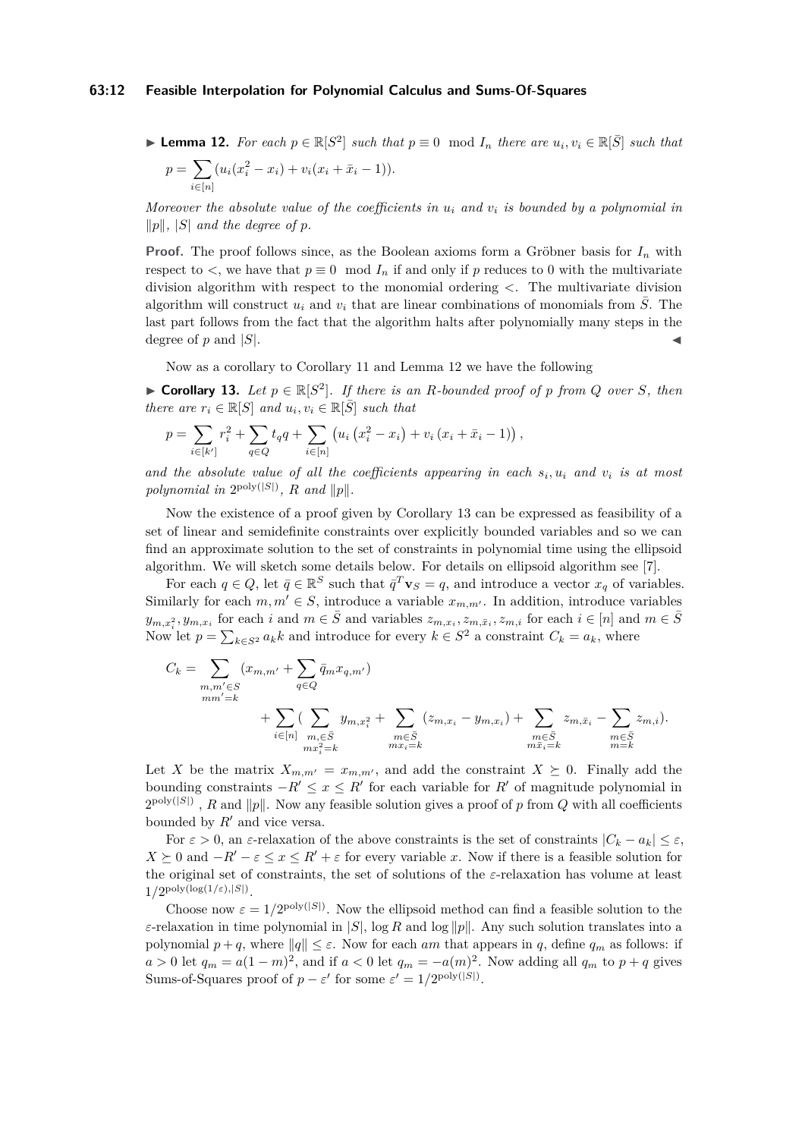#### **63:12 Feasible Interpolation for Polynomial Calculus and Sums-Of-Squares**

▶ **Lemma 12.** For each  $p \in \mathbb{R}[S^2]$  such that  $p \equiv 0 \mod I_n$  there are  $u_i, v_i \in \mathbb{R}[\overline{S}]$  such that

$$
p = \sum_{i \in [n]} (u_i(x_i^2 - x_i) + v_i(x_i + \bar{x}_i - 1)).
$$

*Moreover the absolute value of the coefficients in u<sup>i</sup> and v<sup>i</sup> is bounded by a polynomial in*  $||p||$ ,  $|S|$  *and the degree of p.* 

**Proof.** The proof follows since, as the Boolean axioms form a Gröbner basis for *I<sup>n</sup>* with respect to  $\lt$ , we have that  $p \equiv 0 \mod I_n$  if and only if p reduces to 0 with the multivariate division algorithm with respect to the monomial ordering *<*. The multivariate division algorithm will construct  $u_i$  and  $v_i$  that are linear combinations of monomials from  $\overline{S}$ . The last part follows from the fact that the algorithm halts after polynomially many steps in the degree of  $p$  and  $|S|$ .

Now as a corollary to Corollary [11](#page-10-0) and Lemma [12](#page-10-1) we have the following

<span id="page-11-0"></span>▶ **Corollary 13.** Let  $p \in \mathbb{R}[S^2]$ . If there is an *R*-bounded proof of *p* from *Q* over *S*, then *there are*  $r_i \in \mathbb{R}[S]$  *and*  $u_i, v_i \in \mathbb{R}[\bar{S}]$  *such that* 

$$
p = \sum_{i \in [k']} r_i^2 + \sum_{q \in Q} t_q q + \sum_{i \in [n]} \left( u_i \left( x_i^2 - x_i \right) + v_i \left( x_i + \bar{x}_i - 1 \right) \right),
$$

*and the absolute value of all the coefficients appearing in each s<sup>i</sup> , u<sup>i</sup> and v<sup>i</sup> is at most* polynomial in  $2^{poly(|S|)}$ , *R* and  $||p||$ .

Now the existence of a proof given by Corollary [13](#page-11-0) can be expressed as feasibility of a set of linear and semidefinite constraints over explicitly bounded variables and so we can find an approximate solution to the set of constraints in polynomial time using the ellipsoid algorithm. We will sketch some details below. For details on ellipsoid algorithm see [\[7\]](#page-13-10).

For each  $q \in Q$ , let  $\bar{q} \in \mathbb{R}^S$  such that  $\bar{q}^T \mathbf{v}_S = q$ , and introduce a vector  $x_q$  of variables. Similarly for each  $m, m' \in S$ , introduce a variable  $x_{m,m'}$ . In addition, introduce variables  $y_{m,x_i^2}, y_{m,x_i}$  for each i and  $m \in \overline{S}$  and variables  $z_{m,x_i}, z_{m,\overline{x}_i}, z_{m,i}$  for each  $i \in [n]$  and  $m \in \overline{S}$ Now let  $p = \sum_{k \in S^2} a_k k$  and introduce for every  $k \in S^2$  a constraint  $C_k = a_k$ , where

$$
C_{k} = \sum_{\substack{m,m' \in S \\ mm'=k}} (x_{m,m'} + \sum_{q \in Q} \bar{q}_{m} x_{q,m'}) + \sum_{q \in Q} (y_{m,x_{i}^{2}} + \sum_{\substack{m \in \bar{S} \\ m \in \bar{S} \\ mx_{i} = k}} (z_{m,x_{i}} - y_{m,x_{i}}) + \sum_{\substack{m \in \bar{S} \\ m \in \bar{S} \\ m \bar{x}_{i} = k}} z_{m,\bar{x}_{i}} - \sum_{\substack{m \in \bar{S} \\ m \in \bar{S} \\ m = k}} z_{m,i}).
$$

Let *X* be the matrix  $X_{m,m'} = x_{m,m'}$ , and add the constraint  $X \succeq 0$ . Finally add the bounding constraints  $-R' \leq x \leq R'$  for each variable for  $R'$  of magnitude polynomial in  $2^{\text{poly}(|S|)}$ , *R* and  $||p||$ . Now any feasible solution gives a proof of *p* from *Q* with all coefficients bounded by  $R'$  and vice versa.

For  $\varepsilon > 0$ , an  $\varepsilon$ -relaxation of the above constraints is the set of constraints  $|C_k - a_k| \leq \varepsilon$ ,  $X \succeq 0$  and  $-R' - \varepsilon \leq x \leq R' + \varepsilon$  for every variable *x*. Now if there is a feasible solution for the original set of constraints, the set of solutions of the *ε*-relaxation has volume at least  $1/2^{\text{poly}(\log(1/\varepsilon),|S|)}$ .

Choose now  $\varepsilon = 1/2^{\text{poly}(|S|)}$ . Now the ellipsoid method can find a feasible solution to the *ε*-relaxation in time polynomial in  $|S|$ , log *R* and log  $||p||$ . Any such solution translates into a polynomial  $p + q$ , where  $||q|| \leq \varepsilon$ . Now for each *am* that appears in *q*, define  $q_m$  as follows: if  $a > 0$  let  $q_m = a(1 - m)^2$ , and if  $a < 0$  let  $q_m = -a(m)^2$ . Now adding all  $q_m$  to  $p + q$  gives Sums-of-Squares proof of  $p - \varepsilon'$  for some  $\varepsilon' = 1/2^{\text{poly}(|S|)}$ .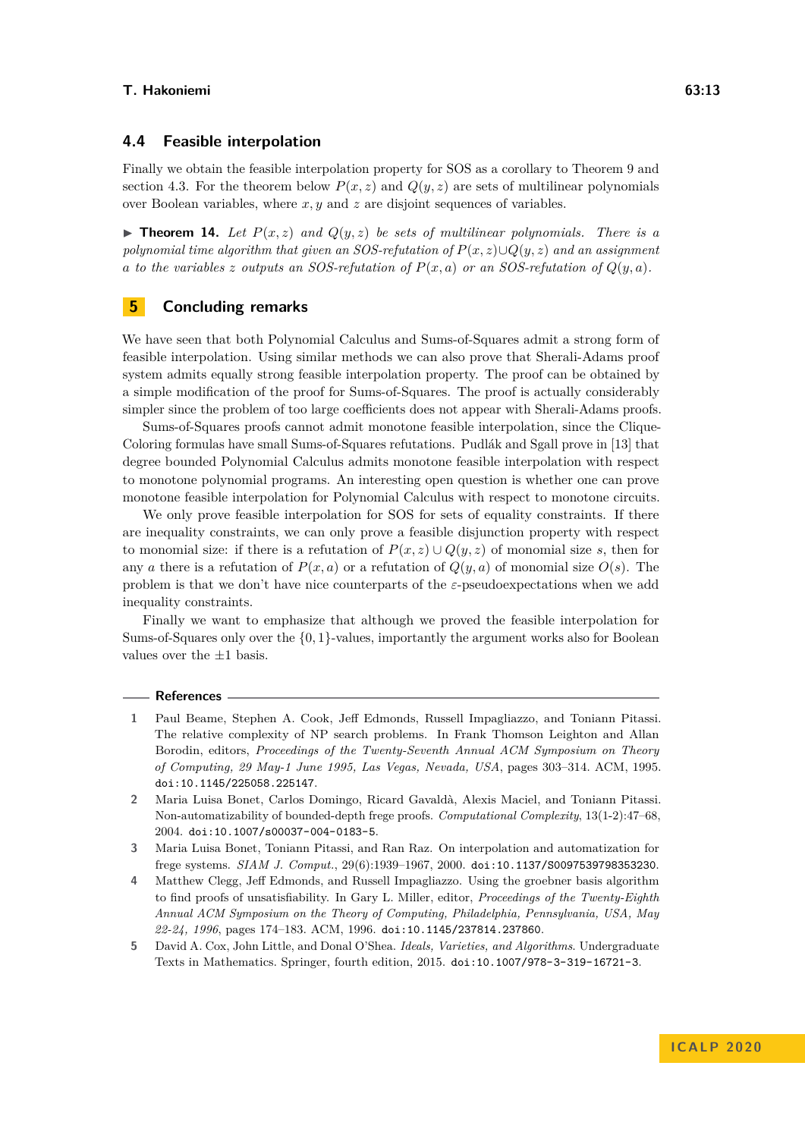# **4.4 Feasible interpolation**

Finally we obtain the feasible interpolation property for SOS as a corollary to Theorem [9](#page-8-0) and section [4.3.](#page-9-0) For the theorem below  $P(x, z)$  and  $Q(y, z)$  are sets of multilinear polynomials over Boolean variables, where *x, y* and *z* are disjoint sequences of variables.

<span id="page-12-4"></span> $\triangleright$  **Theorem 14.** Let  $P(x, z)$  and  $Q(y, z)$  be sets of multilinear polynomials. There is a *polynomial time algorithm that given an SOS-refutation of P*(*x, z*)∪*Q*(*y, z*) *and an assignment a to the variables z outputs an SOS-refutation of*  $P(x, a)$  *or an SOS-refutation of*  $Q(y, a)$ *.* 

# **5 Concluding remarks**

We have seen that both Polynomial Calculus and Sums-of-Squares admit a strong form of feasible interpolation. Using similar methods we can also prove that Sherali-Adams proof system admits equally strong feasible interpolation property. The proof can be obtained by a simple modification of the proof for Sums-of-Squares. The proof is actually considerably simpler since the problem of too large coefficients does not appear with Sherali-Adams proofs.

Sums-of-Squares proofs cannot admit monotone feasible interpolation, since the Clique-Coloring formulas have small Sums-of-Squares refutations. Pudlák and Sgall prove in [\[13\]](#page-13-6) that degree bounded Polynomial Calculus admits monotone feasible interpolation with respect to monotone polynomial programs. An interesting open question is whether one can prove monotone feasible interpolation for Polynomial Calculus with respect to monotone circuits.

We only prove feasible interpolation for SOS for sets of equality constraints. If there are inequality constraints, we can only prove a feasible disjunction property with respect to monomial size: if there is a refutation of  $P(x, z) \cup Q(y, z)$  of monomial size *s*, then for any *a* there is a refutation of  $P(x, a)$  or a refutation of  $Q(y, a)$  of monomial size  $O(s)$ . The problem is that we don't have nice counterparts of the *ε*-pseudoexpectations when we add inequality constraints.

Finally we want to emphasize that although we proved the feasible interpolation for Sums-of-Squares only over the {0*,* 1}-values, importantly the argument works also for Boolean values over the  $\pm 1$  basis.

#### **References**

- <span id="page-12-3"></span>**1** Paul Beame, Stephen A. Cook, Jeff Edmonds, Russell Impagliazzo, and Toniann Pitassi. The relative complexity of NP search problems. In Frank Thomson Leighton and Allan Borodin, editors, *Proceedings of the Twenty-Seventh Annual ACM Symposium on Theory of Computing, 29 May-1 June 1995, Las Vegas, Nevada, USA*, pages 303–314. ACM, 1995. [doi:10.1145/225058.225147](https://doi.org/10.1145/225058.225147).
- <span id="page-12-2"></span>**2** Maria Luisa Bonet, Carlos Domingo, Ricard Gavaldà, Alexis Maciel, and Toniann Pitassi. Non-automatizability of bounded-depth frege proofs. *Computational Complexity*, 13(1-2):47–68, 2004. [doi:10.1007/s00037-004-0183-5](https://doi.org/10.1007/s00037-004-0183-5).
- <span id="page-12-1"></span>**3** Maria Luisa Bonet, Toniann Pitassi, and Ran Raz. On interpolation and automatization for frege systems. *SIAM J. Comput.*, 29(6):1939–1967, 2000. [doi:10.1137/S0097539798353230](https://doi.org/10.1137/S0097539798353230).
- <span id="page-12-0"></span>**4** Matthew Clegg, Jeff Edmonds, and Russell Impagliazzo. Using the groebner basis algorithm to find proofs of unsatisfiability. In Gary L. Miller, editor, *Proceedings of the Twenty-Eighth Annual ACM Symposium on the Theory of Computing, Philadelphia, Pennsylvania, USA, May 22-24, 1996*, pages 174–183. ACM, 1996. [doi:10.1145/237814.237860](https://doi.org/10.1145/237814.237860).
- <span id="page-12-5"></span>**5** David A. Cox, John Little, and Donal O'Shea. *Ideals, Varieties, and Algorithms*. Undergraduate Texts in Mathematics. Springer, fourth edition, 2015. [doi:10.1007/978-3-319-16721-3](https://doi.org/10.1007/978-3-319-16721-3).